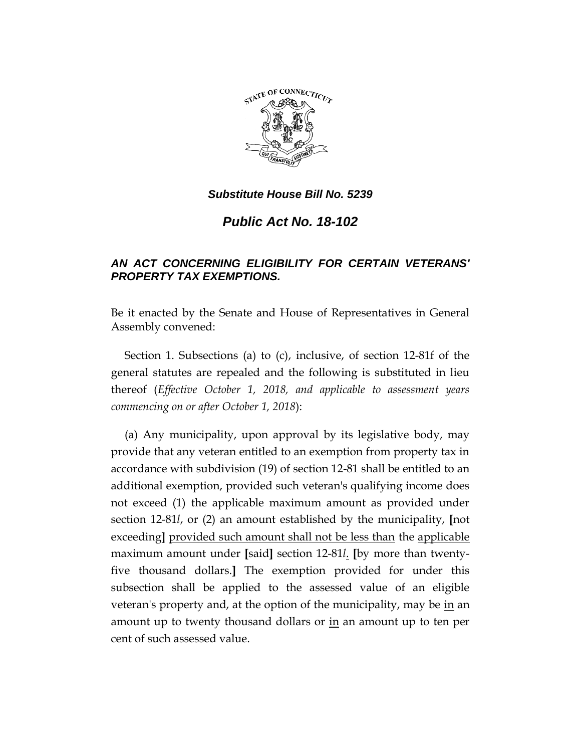

## *Substitute House Bill No. 5239*

# *Public Act No. 18-102*

## *AN ACT CONCERNING ELIGIBILITY FOR CERTAIN VETERANS' PROPERTY TAX EXEMPTIONS.*

Be it enacted by the Senate and House of Representatives in General Assembly convened:

Section 1. Subsections (a) to (c), inclusive, of section 12-81f of the general statutes are repealed and the following is substituted in lieu thereof (*Effective October 1, 2018, and applicable to assessment years commencing on or after October 1, 2018*):

(a) Any municipality, upon approval by its legislative body, may provide that any veteran entitled to an exemption from property tax in accordance with subdivision (19) of section 12-81 shall be entitled to an additional exemption, provided such veteran's qualifying income does not exceed (1) the applicable maximum amount as provided under section 12-81*l*, or (2) an amount established by the municipality, **[**not exceeding**]** provided such amount shall not be less than the applicable maximum amount under **[**said**]** section 12-81*l*. **[**by more than twentyfive thousand dollars.**]** The exemption provided for under this subsection shall be applied to the assessed value of an eligible veteran's property and, at the option of the municipality, may be in an amount up to twenty thousand dollars or in an amount up to ten per cent of such assessed value.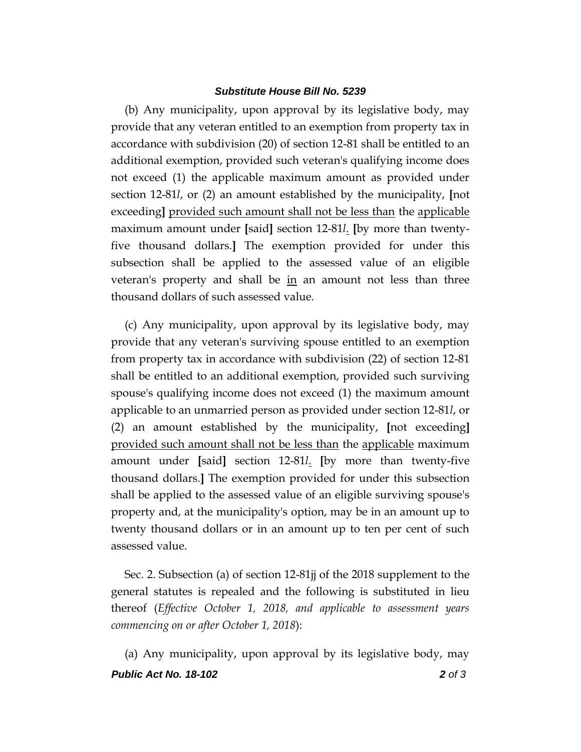#### *Substitute House Bill No. 5239*

(b) Any municipality, upon approval by its legislative body, may provide that any veteran entitled to an exemption from property tax in accordance with subdivision (20) of section 12-81 shall be entitled to an additional exemption, provided such veteran's qualifying income does not exceed (1) the applicable maximum amount as provided under section 12-81*l*, or (2) an amount established by the municipality, **[**not exceeding**]** provided such amount shall not be less than the applicable maximum amount under **[**said**]** section 12-81*l*. **[**by more than twentyfive thousand dollars.**]** The exemption provided for under this subsection shall be applied to the assessed value of an eligible veteran's property and shall be in an amount not less than three thousand dollars of such assessed value.

(c) Any municipality, upon approval by its legislative body, may provide that any veteran's surviving spouse entitled to an exemption from property tax in accordance with subdivision (22) of section 12-81 shall be entitled to an additional exemption, provided such surviving spouse's qualifying income does not exceed (1) the maximum amount applicable to an unmarried person as provided under section 12-81*l*, or (2) an amount established by the municipality, **[**not exceeding**]** provided such amount shall not be less than the applicable maximum amount under **[**said**]** section 12-81*l*. **[**by more than twenty-five thousand dollars.**]** The exemption provided for under this subsection shall be applied to the assessed value of an eligible surviving spouse's property and, at the municipality's option, may be in an amount up to twenty thousand dollars or in an amount up to ten per cent of such assessed value.

Sec. 2. Subsection (a) of section 12-81jj of the 2018 supplement to the general statutes is repealed and the following is substituted in lieu thereof (*Effective October 1, 2018, and applicable to assessment years commencing on or after October 1, 2018*):

*Public Act No. 18-102 2 of 3* (a) Any municipality, upon approval by its legislative body, may